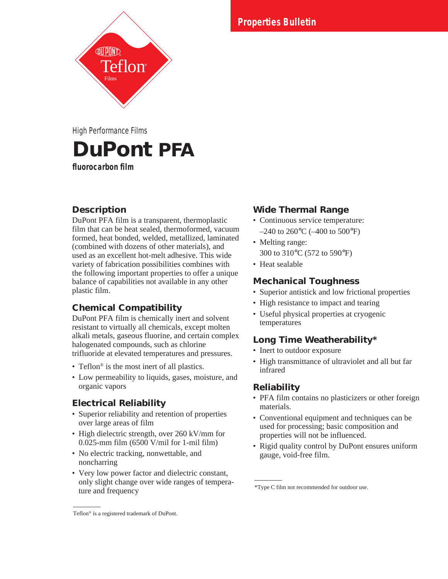**Specification Bulletin Properties Bulletin**

**DuPont PFA fluorocarbon film** High Performance Films

# **Description**

DuPont PFA film is a transparent, thermoplastic film that can be heat sealed, thermoformed, vacuum formed, heat bonded, welded, metallized, laminated (combined with dozens of other materials), and used as an excellent hot-melt adhesive. This wide variety of fabrication possibilities combines with the following important properties to offer a unique balance of capabilities not available in any other plastic film.

## **Chemical Compatibility**

DuPont PFA film is chemically inert and solvent resistant to virtually all chemicals, except molten alkali metals, gaseous fluorine, and certain complex halogenated compounds, such as chlorine trifluoride at elevated temperatures and pressures.

- Teflon<sup>®</sup> is the most inert of all plastics.
- Low permeability to liquids, gases, moisture, and organic vapors

## **Electrical Reliability**

- Superior reliability and retention of properties over large areas of film
- High dielectric strength, over 260 kV/mm for 0.025-mm film (6500 V/mil for 1-mil film)
- No electric tracking, nonwettable, and noncharring
- Very low power factor and dielectric constant, only slight change over wide ranges of temperature and frequency

## **Wide Thermal Range**

- Continuous service temperature:  $-240$  to 260 $\degree$ C ( $-400$  to 500 $\degree$ F)
- Melting range: 300 to 310°C (572 to 590°F)
- Heat sealable

## **Mechanical Toughness**

- Superior antistick and low frictional properties
- High resistance to impact and tearing
- Useful physical properties at cryogenic temperatures

## **Long Time Weatherability\***

- Inert to outdoor exposure
- High transmittance of ultraviolet and all but far infrared

## **Reliability**

- PFA film contains no plasticizers or other foreign materials.
- Conventional equipment and techniques can be used for processing; basic composition and properties will not be influenced.
- Rigid quality control by DuPont ensures uniform gauge, void-free film.

Teflon® is a registered trademark of DuPont.

<sup>\*</sup>Type C film not recommended for outdoor use.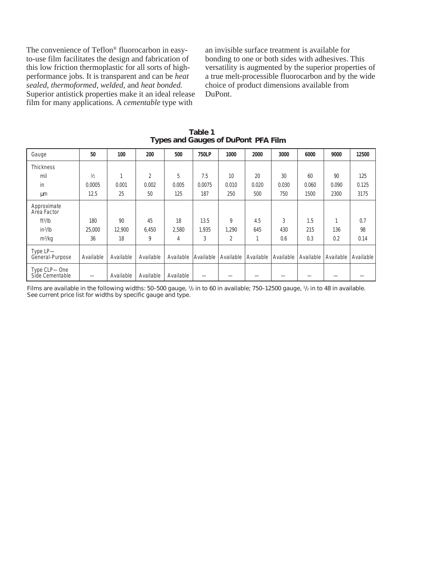The convenience of Teflon® fluorocarbon in easyto-use film facilitates the design and fabrication of this low friction thermoplastic for all sorts of highperformance jobs. It is transparent and can be *heat sealed, thermoformed, welded,* and *heat bonded.* Superior antistick properties make it an ideal release film for many applications. A *cementable* type with

an invisible surface treatment is available for bonding to one or both sides with adhesives. This versatility is augmented by the superior properties of a true melt-processible fluorocarbon and by the wide choice of product dimensions available from DuPont.

| Gauge                           | 50            | 100       | 200       | 500       | <b>750LP</b> | 1000      | 2000      | 3000      | 6000      | 9000      | 12500     |
|---------------------------------|---------------|-----------|-----------|-----------|--------------|-----------|-----------|-----------|-----------|-----------|-----------|
| <b>Thickness</b>                |               |           |           |           |              |           |           |           |           |           |           |
| mil                             | $\frac{1}{2}$ | 1         | 2         | 5         | 7.5          | 10        | 20        | 30        | 60        | 90        | 125       |
| in                              | 0.0005        | 0.001     | 0.002     | 0.005     | 0.0075       | 0.010     | 0.020     | 0.030     | 0.060     | 0.090     | 0.125     |
| μm                              | 12.5          | 25        | 50        | 125       | 187          | 250       | 500       | 750       | 1500      | 2300      | 3175      |
| Approximate<br>Area Factor      |               |           |           |           |              |           |           |           |           |           |           |
| $ft^2/lb$                       | 180           | 90        | 45        | 18        | 13.5         | 9         | 4.5       | 3         | 1.5       |           | 0.7       |
| $in^2/lb$                       | 25,000        | 12.900    | 6,450     | 2,580     | 1,935        | 1,290     | 645       | 430       | 215       | 136       | 98        |
| $m^2/kq$                        | 36            | 18        | 9         | 4         | 3            | 2         | 1         | 0.6       | 0.3       | 0.2       | 0.14      |
| Type LP-<br>General-Purpose     | Available     | Available | Available | Available | Available    | Available | Available | Available | Available | Available | Available |
| Type CLP-One<br>Side Cementable |               | Available | Available | Available |              |           |           |           |           |           |           |

**Table 1 Types and Gauges of DuPont PFA Film**

Films are available in the following widths: 50–500 gauge, 1/2 in to 60 in available; 750–12500 gauge, 1/2 in to 48 in available. See current price list for widths by specific gauge and type.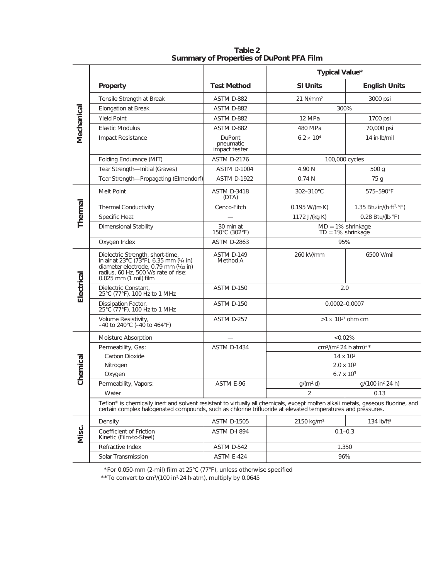|            |                                                                                                                                                                                                                                                 |                                      | Typical Value*                                            |                                      |  |  |  |  |  |
|------------|-------------------------------------------------------------------------------------------------------------------------------------------------------------------------------------------------------------------------------------------------|--------------------------------------|-----------------------------------------------------------|--------------------------------------|--|--|--|--|--|
|            | Property                                                                                                                                                                                                                                        | <b>Test Method</b>                   | <b>SI Units</b>                                           | <b>English Units</b>                 |  |  |  |  |  |
|            | Tensile Strength at Break                                                                                                                                                                                                                       | ASTM D-882                           | $21$ N/mm <sup>2</sup>                                    | 3000 psi                             |  |  |  |  |  |
|            | Elongation at Break                                                                                                                                                                                                                             | ASTM D-882                           | 300%                                                      |                                      |  |  |  |  |  |
|            | Yield Point                                                                                                                                                                                                                                     | ASTM D-882                           | 12 MPa                                                    | 1700 psi                             |  |  |  |  |  |
|            | Elastic Modulus                                                                                                                                                                                                                                 | ASTM D-882                           | 480 MPa                                                   | 70,000 psi                           |  |  |  |  |  |
| Mechanical | <b>Impact Resistance</b>                                                                                                                                                                                                                        | DuPont<br>pneumatic<br>impact tester | $6.2 \times 10^{4}$                                       | 14 in Ib/mil                         |  |  |  |  |  |
|            | Folding Endurance (MIT)                                                                                                                                                                                                                         | <b>ASTM D-2176</b>                   | 100,000 cycles                                            |                                      |  |  |  |  |  |
|            | Tear Strength-Initial (Graves)                                                                                                                                                                                                                  | <b>ASTM D-1004</b>                   | 4.90 N                                                    | 500 g                                |  |  |  |  |  |
|            | Tear Strength-Propagating (Elmendorf)                                                                                                                                                                                                           | <b>ASTM D-1922</b>                   | 0.74N                                                     | 75 g                                 |  |  |  |  |  |
|            | Melt Point                                                                                                                                                                                                                                      | <b>ASTM D-3418</b><br>(DTA)          | 302-310°C                                                 | 575-590°F                            |  |  |  |  |  |
|            | Thermal Conductivity                                                                                                                                                                                                                            | Cenco-Fitch                          | $0.195 W/(m \cdot K)$                                     | 1.35 Btu-in/(h-ft <sup>2, o</sup> F) |  |  |  |  |  |
| Thermal    | Specific Heat                                                                                                                                                                                                                                   |                                      | 1172 J/(kg·K)                                             | 0.28 Btu/(lb.°F)                     |  |  |  |  |  |
|            | Dimensional Stability                                                                                                                                                                                                                           | 30 min at<br>150°C (302°F)           | $MD = 1\%$ shrinkage<br>$TD = 1\%$ shrinkage              |                                      |  |  |  |  |  |
|            | Oxygen Index                                                                                                                                                                                                                                    | <b>ASTM D-2863</b>                   | 95%                                                       |                                      |  |  |  |  |  |
| Electrical | Dielectric Strength, short-time,<br>in air at 23 $^{\circ}$ C (73 $^{\circ}$ F), 6.35 mm ( $\frac{1}{4}$ in)<br>diameter electrode, 0.79 mm ( $\frac{1}{4}$ in)<br>radius, 60 Hz, 500 V/s rate of rise:<br>0.025 mm (1 mil) film                | ASTM D-149<br>Method A               | 260 kV/mm                                                 | 6500 V/mil                           |  |  |  |  |  |
|            | Dielectric Constant,<br>25°C (77°F), 100 Hz to 1 MHz                                                                                                                                                                                            | ASTM D-150                           | 2.0                                                       |                                      |  |  |  |  |  |
|            | Dissipation Factor,<br>25°C (77°F), 100 Hz to 1 MHz                                                                                                                                                                                             | ASTM D-150                           | $0.0002 - 0.0007$                                         |                                      |  |  |  |  |  |
|            | Volume Resistivity,<br>$-40$ to $240^{\circ}$ C ( $-40$ to $464^{\circ}$ F)                                                                                                                                                                     | ASTM D-257                           | $>1 \times 10^{17}$ ohm $cm$                              |                                      |  |  |  |  |  |
|            | Moisture Absorption                                                                                                                                                                                                                             |                                      | $<0.02\%$                                                 |                                      |  |  |  |  |  |
|            | Permeability, Gas:                                                                                                                                                                                                                              | <b>ASTM D-1434</b>                   | $cm^{3}/(m^{2} \cdot 24 \text{ h} \cdot \text{atm})^{**}$ |                                      |  |  |  |  |  |
|            | Carbon Dioxide                                                                                                                                                                                                                                  |                                      | $14 \times 10^{3}$                                        |                                      |  |  |  |  |  |
|            | Nitrogen                                                                                                                                                                                                                                        |                                      | $2.0 \times 10^{3}$                                       |                                      |  |  |  |  |  |
| Chemical   | Oxygen                                                                                                                                                                                                                                          |                                      | $6.7 \times 10^{3}$                                       |                                      |  |  |  |  |  |
|            | Permeability, Vapors:                                                                                                                                                                                                                           | ASTM E-96                            | $g/(m^2 \cdot d)$                                         | g/(100 in <sup>2</sup> 24 h)         |  |  |  |  |  |
|            | Water                                                                                                                                                                                                                                           |                                      | 0.13                                                      |                                      |  |  |  |  |  |
|            | Teflon® is chemically inert and solvent resistant to virtually all chemicals, except molten alkali metals, gaseous fluorine, and<br>certain complex halogenated compounds, such as chlorine trifluoride at elevated temperatures and pressures. |                                      |                                                           |                                      |  |  |  |  |  |
|            | Density                                                                                                                                                                                                                                         | <b>ASTM D-1505</b>                   | $2150 \text{ kg/m}^3$                                     | 134 $lb/ft3$                         |  |  |  |  |  |
| Misc.      | Coefficient of Friction<br>Kinetic (Film-to-Steel)                                                                                                                                                                                              | ASTM D-I 894                         | $0.1 - 0.3$                                               |                                      |  |  |  |  |  |
|            | Refractive Index                                                                                                                                                                                                                                | ASTM D-542                           | 1.350                                                     |                                      |  |  |  |  |  |
|            | Solar Transmission                                                                                                                                                                                                                              | ASTM E-424                           | 96%                                                       |                                      |  |  |  |  |  |

**Table 2 Summary of Properties of DuPont PFA Film**

\*For 0.050-mm (2-mil) film at 25°C (77°F), unless otherwise specified

\*\*To convert to cm<sup>3</sup>/(100 in<sup>2</sup>.24 h atm), multiply by 0.0645